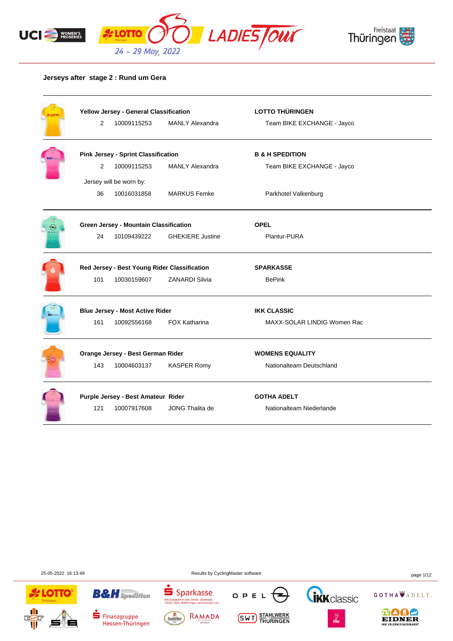



#### **Jerseys after stage 2 : Rund um Gera**

| LOT | Yellow Jersey - General Classification |                                              |                         | <b>LOTTO THÜRINGEN</b>      |  |
|-----|----------------------------------------|----------------------------------------------|-------------------------|-----------------------------|--|
|     | 2                                      | 10009115253                                  | <b>MANLY Alexandra</b>  | Team BIKE EXCHANGE - Jayco  |  |
|     |                                        | <b>Pink Jersey - Sprint Classification</b>   |                         | <b>B &amp; H SPEDITION</b>  |  |
|     | 2                                      | 10009115253                                  | <b>MANLY Alexandra</b>  | Team BIKE EXCHANGE - Jayco  |  |
|     |                                        | Jersey will be worn by:                      |                         |                             |  |
|     | 36                                     | 10016031858                                  | <b>MARKUS Femke</b>     | Parkhotel Valkenburg        |  |
|     |                                        | Green Jersey - Mountain Classification       |                         | <b>OPEL</b>                 |  |
|     | 24                                     | 10109439222                                  | <b>GHEKIERE Justine</b> | Plantur-PURA                |  |
|     |                                        | Red Jersey - Best Young Rider Classification |                         | <b>SPARKASSE</b>            |  |
|     | 101                                    | 10030159607                                  | <b>ZANARDI Silvia</b>   | <b>BePink</b>               |  |
|     |                                        | <b>Blue Jersey - Most Active Rider</b>       |                         | <b>IKK CLASSIC</b>          |  |
|     | 161                                    | 10092556168                                  | <b>FOX Katharina</b>    | MAXX-SOLAR LINDIG Women Rac |  |
|     |                                        | Orange Jersey - Best German Rider            |                         | <b>WOMENS EQUALITY</b>      |  |
|     | 143                                    | 10004603137                                  | <b>KASPER Romy</b>      | Nationalteam Deutschland    |  |
|     |                                        | Purple Jersey - Best Amateur Rider           |                         | <b>GOTHA ADELT</b>          |  |
|     |                                        |                                              |                         |                             |  |

25-05-2022 16:13:49 Results by CyclingMaster software page 1/12





Finanzgruppe

Hessen-Thüringen







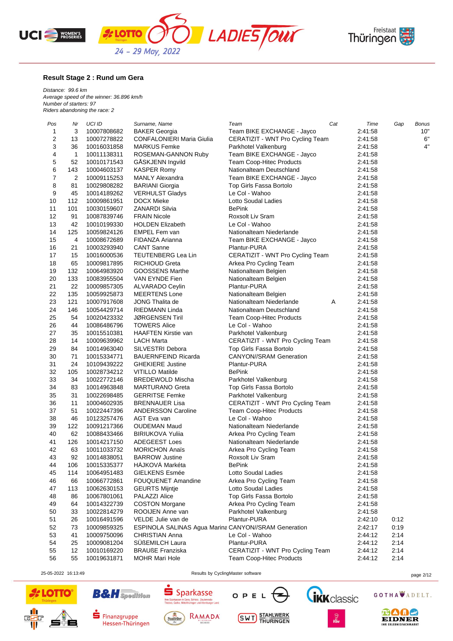





#### **Result Stage 2 : Rund um Gera**

*Distance: 99.6 km Average speed of the winner: 36.896 km/h Number of starters: 97 Riders abandoning the race: 2*

| Pos            | Nr  | <b>UCI ID</b> | Surname, Name                                               | Team                             | Cat | Time    | Gap  | <b>Bonus</b> |
|----------------|-----|---------------|-------------------------------------------------------------|----------------------------------|-----|---------|------|--------------|
| 1              | 3   | 10007808682   | <b>BAKER Georgia</b>                                        | Team BIKE EXCHANGE - Jayco       |     | 2:41:58 |      | 10"          |
| $\overline{c}$ | 13  | 10007278822   | <b>CONFALONIERI Maria Giulia</b>                            | CERATIZIT - WNT Pro Cycling Team |     | 2:41:58 |      | 6"           |
| 3              | 36  | 10016031858   | <b>MARKUS Femke</b>                                         | Parkhotel Valkenburg             |     | 2:41:58 |      | 4"           |
| 4              | 1   | 10011138311   | ROSEMAN-GANNON Ruby                                         | Team BIKE EXCHANGE - Jayco       |     | 2:41:58 |      |              |
| 5              | 52  | 10010171543   | GASKJENN Ingvild                                            | Team Coop-Hitec Products         |     | 2:41:58 |      |              |
| 6              | 143 | 10004603137   | <b>KASPER Romy</b>                                          | Nationalteam Deutschland         |     | 2:41:58 |      |              |
| $\overline{7}$ | 2   | 10009115253   | <b>MANLY Alexandra</b>                                      | Team BIKE EXCHANGE - Jayco       |     | 2:41:58 |      |              |
| 8              | 81  | 10029808282   | <b>BARIANI</b> Giorgia                                      | Top Girls Fassa Bortolo          |     | 2:41:58 |      |              |
| 9              | 45  | 10014189262   | <b>VERHULST Gladys</b>                                      | Le Col - Wahoo                   |     | 2:41:58 |      |              |
| 10             | 112 | 10009861951   | <b>DOCX Mieke</b>                                           | Lotto Soudal Ladies              |     | 2:41:58 |      |              |
| 11             | 101 | 10030159607   | <b>ZANARDI Silvia</b>                                       | <b>BePink</b>                    |     | 2:41:58 |      |              |
| 12             | 91  | 10087839746   | <b>FRAIN Nicole</b>                                         | Roxsolt Liv Sram                 |     | 2:41:58 |      |              |
| 13             | 42  | 10010199330   | <b>HOLDEN Elizabeth</b>                                     | Le Col - Wahoo                   |     | 2:41:58 |      |              |
| 14             | 125 | 10059824126   | EMPEL Fem van                                               | Nationalteam Niederlande         |     | 2:41:58 |      |              |
| 15             | 4   | 10008672689   | FIDANZA Arianna                                             | Team BIKE EXCHANGE - Jayco       |     | 2:41:58 |      |              |
| 16             | 21  | 10003293940   | <b>CANT Sanne</b>                                           | Plantur-PURA                     |     | 2:41:58 |      |              |
| 17             | 15  | 10016000536   | TEUTENBERG Lea Lin                                          | CERATIZIT - WNT Pro Cycling Team |     | 2:41:58 |      |              |
| 18             | 65  | 10009817895   | <b>RICHIOUD Greta</b>                                       | Arkea Pro Cycling Team           |     | 2:41:58 |      |              |
| 19             | 132 | 10064983920   | GOOSSENS Marthe                                             | Nationalteam Belgien             |     | 2:41:58 |      |              |
| 20             | 133 |               | VAN EYNDE Fien                                              | Nationalteam Belgien             |     | 2:41:58 |      |              |
|                |     | 10083955504   |                                                             |                                  |     |         |      |              |
| 21             | 22  | 10009857305   | ALVARADO Ceylin                                             | Plantur-PURA                     |     | 2:41:58 |      |              |
| 22             | 135 | 10059925873   | <b>MEERTENS Lone</b>                                        | Nationalteam Belgien             |     | 2:41:58 |      |              |
| 23             | 121 | 10007917608   | JONG Thalita de                                             | Nationalteam Niederlande         | A   | 2:41:58 |      |              |
| 24             | 146 | 10054429714   | RIEDMANN Linda                                              | Nationalteam Deutschland         |     | 2:41:58 |      |              |
| 25             | 54  | 10020423332   | JØRGENSEN Tiril                                             | Team Coop-Hitec Products         |     | 2:41:58 |      |              |
| 26             | 44  | 10086486796   | <b>TOWERS Alice</b>                                         | Le Col - Wahoo                   |     | 2:41:58 |      |              |
| 27             | 35  | 10015510381   | HAAFTEN Kirstie van                                         | Parkhotel Valkenburg             |     | 2:41:58 |      |              |
| 28             | 14  | 10009639962   | LACH Marta                                                  | CERATIZIT - WNT Pro Cycling Team |     | 2:41:58 |      |              |
| 29             | 84  | 10014963040   | SILVESTRI Debora                                            | Top Girls Fassa Bortolo          |     | 2:41:58 |      |              |
| 30             | 71  | 10015334771   | <b>BAUERNFEIND Ricarda</b>                                  | <b>CANYON//SRAM Generation</b>   |     | 2:41:58 |      |              |
| 31             | 24  | 10109439222   | <b>GHEKIERE Justine</b>                                     | Plantur-PURA                     |     | 2:41:58 |      |              |
| 32             | 105 | 10028734212   | <b>VITILLO Matilde</b>                                      | <b>BePink</b>                    |     | 2:41:58 |      |              |
| 33             | 34  | 10022772146   | <b>BREDEWOLD Mischa</b>                                     | Parkhotel Valkenburg             |     | 2:41:58 |      |              |
| 34             | 83  | 10014963848   | <b>MARTURANO Greta</b>                                      | Top Girls Fassa Bortolo          |     | 2:41:58 |      |              |
| 35             | 31  | 10022698485   | <b>GERRITSE Femke</b>                                       | Parkhotel Valkenburg             |     | 2:41:58 |      |              |
| 36             | 11  | 10004602935   | <b>BRENNAUER Lisa</b>                                       | CERATIZIT - WNT Pro Cycling Team |     | 2:41:58 |      |              |
| 37             | 51  | 10022447396   | <b>ANDERSSON Caroline</b>                                   | Team Coop-Hitec Products         |     | 2:41:58 |      |              |
| 38             | 46  | 10123257476   | AGT Eva van                                                 | Le Col - Wahoo                   |     | 2:41:58 |      |              |
| 39             | 122 | 10091217366   | <b>OUDEMAN Maud</b>                                         | Nationalteam Niederlande         |     | 2:41:58 |      |              |
| 40             | 62  | 10088433466   | <b>BIRIUKOVA Yulija</b>                                     | Arkea Pro Cycling Team           |     | 2:41:58 |      |              |
| 41             | 126 | 10014217150   | ADEGEEST Loes                                               | Nationalteam Niederlande         |     | 2:41:58 |      |              |
| 42             | 63  | 10011033732   | <b>MORICHON Anaïs</b>                                       | Arkea Pro Cycling Team           |     | 2:41:58 |      |              |
| 43             | 92  | 10014838051   | <b>BARROW Justine</b>                                       | Roxsolt Liv Sram                 |     | 2:41:58 |      |              |
| 44             | 106 | 10015335377   | HÁJKOVÁ Markéta                                             | BePink                           |     | 2:41:58 |      |              |
| 45             | 114 | 10064951483   | <b>GIELKENS Esmée</b>                                       | Lotto Soudal Ladies              |     | 2:41:58 |      |              |
| 46             | 66  | 10066772861   | <b>FOUQUENET Amandine</b>                                   | Arkea Pro Cycling Team           |     | 2:41:58 |      |              |
| 47             | 113 | 10062630153   | <b>GEURTS Mijntje</b>                                       | Lotto Soudal Ladies              |     | 2:41:58 |      |              |
| 48             | 86  | 10067801061   | PALAZZI Alice                                               | Top Girls Fassa Bortolo          |     | 2:41:58 |      |              |
| 49             | 64  | 10014322739   | <b>COSTON Morgane</b>                                       | Arkea Pro Cycling Team           |     | 2:41:58 |      |              |
| 50             | 33  | 10022814279   | ROOIJEN Anne van                                            | Parkhotel Valkenburg             |     | 2:41:58 |      |              |
| 51             | 26  | 10016491596   | VELDE Julie van de                                          | Plantur-PURA                     |     | 2:42:10 | 0:12 |              |
| 52             | 73  | 10009859325   | <b>ESPINOLA SALINAS Agua Marina CANYON//SRAM Generation</b> |                                  |     | 2:42:17 | 0:19 |              |
| 53             | 41  | 10009750096   | CHRISTIAN Anna                                              | Le Col - Wahoo                   |     | 2:44:12 | 2:14 |              |
| 54             | 25  | 10009081204   | SÜßEMILCH Laura                                             | Plantur-PURA                     |     | 2:44:12 | 2:14 |              |
| 55             | 12  | 10010169220   | <b>BRAUßE Franziska</b>                                     | CERATIZIT - WNT Pro Cycling Team |     | 2:44:12 | 2:14 |              |
| 56             | 55  | 10019631871   | <b>MOHR Mari Hole</b>                                       | Team Coop-Hitec Products         |     | 2:44:12 | 2:14 |              |
|                |     |               |                                                             |                                  |     |         |      |              |

25-05-2022 16:13:49 Results by CyclingMaster software page 2/12





**B&H** Spedition



s<br>en in Gera, Schleiz, Zeulenroda-<br>ha, Mittelthüringen und Altenburger Land

 $S<sub>parkasse</sub>$ 

**Thre Span**<br>Triphae







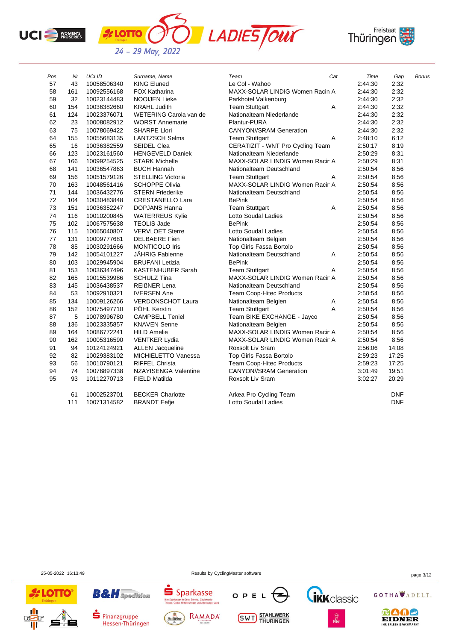





| Pos | Nr  | <b>UCI ID</b> | Surname, Name            | Team                             | Cat | Time    | Gap        | <b>Bonus</b> |
|-----|-----|---------------|--------------------------|----------------------------------|-----|---------|------------|--------------|
| 57  | 43  | 10058506340   | <b>KING Eluned</b>       | Le Col - Wahoo                   |     | 2:44:30 | 2:32       |              |
| 58  | 161 | 10092556168   | <b>FOX Katharina</b>     | MAXX-SOLAR LINDIG Women Racin A  |     | 2:44:30 | 2:32       |              |
| 59  | 32  | 10023144483   | <b>NOOIJEN Lieke</b>     | Parkhotel Valkenburg             |     | 2:44:30 | 2:32       |              |
| 60  | 154 | 10036382660   | <b>KRAHL Judith</b>      | <b>Team Stuttgart</b>            | Α   | 2:44:30 | 2:32       |              |
| 61  | 124 | 10023376071   | WETERING Carola van de   | Nationalteam Niederlande         |     | 2:44:30 | 2:32       |              |
| 62  | 23  | 10008082912   | <b>WORST Annemarie</b>   | Plantur-PURA                     |     | 2:44:30 | 2:32       |              |
| 63  | 75  | 10078069422   | <b>SHARPE Llori</b>      | <b>CANYON//SRAM Generation</b>   |     | 2:44:30 | 2:32       |              |
| 64  | 155 | 10055683135   | <b>LANTZSCH Selma</b>    | <b>Team Stuttgart</b>            | Α   | 2:48:10 | 6:12       |              |
| 65  | 16  | 10036382559   | <b>SEIDEL Clea</b>       | CERATIZIT - WNT Pro Cycling Team |     | 2:50:17 | 8:19       |              |
| 66  | 123 | 10023161560   | <b>HENGEVELD Daniek</b>  | Nationalteam Niederlande         |     | 2:50:29 | 8:31       |              |
| 67  | 166 | 10099254525   | <b>STARK Michelle</b>    | MAXX-SOLAR LINDIG Women Racir A  |     | 2:50:29 | 8:31       |              |
| 68  | 141 | 10036547863   | <b>BUCH Hannah</b>       | Nationalteam Deutschland         |     | 2:50:54 | 8:56       |              |
| 69  | 156 | 10051579126   | <b>STELLING Victoria</b> | <b>Team Stuttgart</b>            | Α   | 2:50:54 | 8:56       |              |
| 70  | 163 | 10048561416   | <b>SCHOPPE Olivia</b>    | MAXX-SOLAR LINDIG Women Racir A  |     | 2:50:54 | 8:56       |              |
| 71  | 144 | 10036432776   | <b>STERN Friederike</b>  | Nationalteam Deutschland         |     | 2:50:54 | 8:56       |              |
| 72  | 104 | 10030483848   | <b>CRESTANELLO Lara</b>  | <b>BePink</b>                    |     | 2:50:54 | 8:56       |              |
| 73  | 151 | 10036352247   | <b>DOPJANS Hanna</b>     | <b>Team Stuttgart</b>            | Α   | 2:50:54 | 8:56       |              |
| 74  | 116 | 10010200845   | <b>WATERREUS Kylie</b>   | Lotto Soudal Ladies              |     | 2:50:54 | 8:56       |              |
| 75  | 102 | 10067575638   | <b>TEOLIS Jade</b>       | <b>BePink</b>                    |     | 2:50:54 | 8:56       |              |
| 76  | 115 | 10065040807   | <b>VERVLOET Sterre</b>   | Lotto Soudal Ladies              |     | 2:50:54 | 8:56       |              |
| 77  | 131 | 10009777681   | <b>DELBAERE</b> Fien     | Nationalteam Belgien             |     | 2:50:54 | 8:56       |              |
| 78  | 85  | 10030291666   | <b>MONTICOLO Iris</b>    | Top Girls Fassa Bortolo          |     | 2:50:54 | 8:56       |              |
| 79  | 142 | 10054101227   | JÄHRIG Fabienne          | Nationalteam Deutschland         | Α   | 2:50:54 | 8:56       |              |
| 80  | 103 | 10029945904   | <b>BRUFANI Letizia</b>   | <b>BePink</b>                    |     | 2:50:54 | 8:56       |              |
| 81  | 153 | 10036347496   | <b>KASTENHUBER Sarah</b> | <b>Team Stuttgart</b>            | A   | 2:50:54 | 8:56       |              |
| 82  | 165 | 10015539986   | <b>SCHULZ Tina</b>       | MAXX-SOLAR LINDIG Women Racir A  |     | 2:50:54 | 8:56       |              |
| 83  | 145 | 10036438537   | <b>REIßNER Lena</b>      | Nationalteam Deutschland         |     | 2:50:54 | 8:56       |              |
| 84  | 53  | 10092910321   | <b>IVERSEN Ane</b>       | <b>Team Coop-Hitec Products</b>  |     | 2:50:54 | 8:56       |              |
| 85  | 134 | 10009126266   | <b>VERDONSCHOT Laura</b> | Nationalteam Belgien             | Α   | 2:50:54 | 8:56       |              |
| 86  | 152 | 10075497710   | PÖHL Kerstin             | <b>Team Stuttgart</b>            | A   | 2:50:54 | 8:56       |              |
| 87  | 5   | 10078996780   | <b>CAMPBELL Teniel</b>   | Team BIKE EXCHANGE - Jayco       |     | 2:50:54 | 8:56       |              |
| 88  | 136 | 10023335857   | <b>KNAVEN Senne</b>      | Nationalteam Belgien             |     | 2:50:54 | 8:56       |              |
| 89  | 164 | 10086772241   | <b>HILD Amelie</b>       | MAXX-SOLAR LINDIG Women Racir A  |     | 2:50:54 | 8:56       |              |
| 90  | 162 | 10005316590   | <b>VENTKER Lydia</b>     | MAXX-SOLAR LINDIG Women Racir A  |     | 2:50:54 | 8:56       |              |
| 91  | 94  | 10124124921   | <b>ALLEN Jacqueline</b>  | Roxsolt Liv Sram                 |     | 2:56:06 | 14:08      |              |
| 92  | 82  | 10029383102   | MICHIELETTO Vanessa      | Top Girls Fassa Bortolo          |     | 2:59:23 | 17:25      |              |
| 93  | 56  | 10010790121   | <b>RIFFEL Christa</b>    | Team Coop-Hitec Products         |     | 2:59:23 | 17:25      |              |
| 94  | 74  | 10076897338   | NZAYISENGA Valentine     | <b>CANYON//SRAM Generation</b>   |     | 3:01:49 | 19:51      |              |
| 95  | 93  | 10112270713   | <b>FIELD Matilda</b>     | Roxsolt Liv Sram                 |     | 3:02:27 | 20:29      |              |
|     | 61  | 10002523701   | <b>BECKER Charlotte</b>  | Arkea Pro Cycling Team           |     |         | DNF        |              |
|     | 111 | 10071314582   | <b>BRANDT Eefje</b>      | Lotto Soudal Ladies              |     |         | <b>DNF</b> |              |

25-05-2022 16:13:49 Results by CyclingMaster software page 3/12



**B&H** Spedition  $\blacksquare$  Finanzgruppe

Hessen-Thüringen





**SWT** STAHLWERK





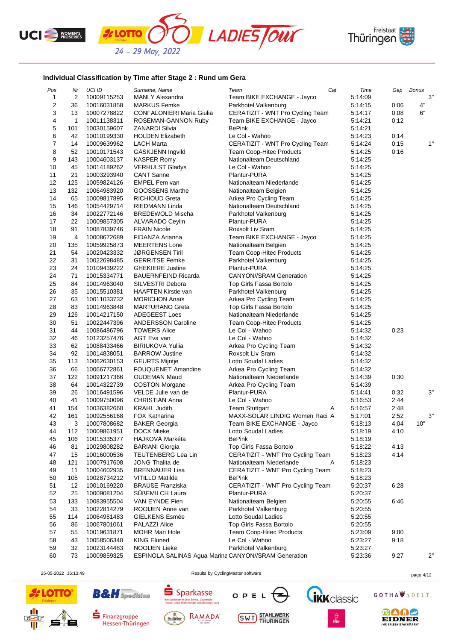





## **Individual Classification by Time after Stage 2 : Rund um Gera**

*<u>ELOTTO</u>* 

| Pos            | Nr  | UCI ID      | Surname, Name                                        | Team                             | Cat | Time    | Gap  | <b>Bonus</b> |
|----------------|-----|-------------|------------------------------------------------------|----------------------------------|-----|---------|------|--------------|
| 1              | 2   | 10009115253 | <b>MANLY Alexandra</b>                               | Team BIKE EXCHANGE - Jayco       |     | 5:14:09 |      | 3"           |
| $\overline{c}$ | 36  | 10016031858 | <b>MARKUS Femke</b>                                  | Parkhotel Valkenburg             |     | 5:14:15 | 0:06 | 4"           |
| 3              | 13  | 10007278822 | <b>CONFALONIERI Maria Giulia</b>                     | CERATIZIT - WNT Pro Cycling Team |     | 5:14:17 | 0:08 | 6"           |
| 4              | 1   | 10011138311 | ROSEMAN-GANNON Ruby                                  | Team BIKE EXCHANGE - Jayco       |     | 5:14:21 | 0:12 |              |
| 5              | 101 | 10030159607 | ZANARDI Silvia                                       | <b>BePink</b>                    |     | 5:14:21 |      |              |
| 6              | 42  | 10010199330 | <b>HOLDEN Elizabeth</b>                              | Le Col - Wahoo                   |     | 5:14:23 | 0:14 |              |
| $\overline{7}$ | 14  | 10009639962 | <b>LACH Marta</b>                                    | CERATIZIT - WNT Pro Cycling Team |     | 5:14:24 | 0:15 | 1"           |
| 8              | 52  | 10010171543 | GASKJENN Ingvild                                     | <b>Team Coop-Hitec Products</b>  |     | 5:14:25 | 0:16 |              |
| 9              | 143 | 10004603137 | KASPER Romy                                          | Nationalteam Deutschland         |     | 5:14:25 |      |              |
| 10             | 45  | 10014189262 | <b>VERHULST Gladys</b>                               | Le Col - Wahoo                   |     | 5:14:25 |      |              |
| 11             | 21  | 10003293940 | <b>CANT Sanne</b>                                    | Plantur-PURA                     |     | 5:14:25 |      |              |
| 12             | 125 | 10059824126 | EMPEL Fem van                                        | Nationalteam Niederlande         |     | 5:14:25 |      |              |
| 13             | 132 | 10064983920 | GOOSSENS Marthe                                      | Nationalteam Belgien             |     | 5:14:25 |      |              |
| 14             | 65  | 10009817895 | RICHIOUD Greta                                       | Arkea Pro Cycling Team           |     | 5:14:25 |      |              |
| 15             | 146 | 10054429714 | RIEDMANN Linda                                       | Nationalteam Deutschland         |     | 5:14:25 |      |              |
|                |     | 10022772146 |                                                      |                                  |     |         |      |              |
| 16             | 34  |             | <b>BREDEWOLD Mischa</b>                              | Parkhotel Valkenburg             |     | 5:14:25 |      |              |
| 17             | 22  | 10009857305 | ALVARADO Ceylin                                      | Plantur-PURA                     |     | 5:14:25 |      |              |
| 18             | 91  | 10087839746 | <b>FRAIN Nicole</b>                                  | Roxsolt Liv Sram                 |     | 5:14:25 |      |              |
| 19             | 4   | 10008672689 | FIDANZA Arianna                                      | Team BIKE EXCHANGE - Jayco       |     | 5:14:25 |      |              |
| 20             | 135 | 10059925873 | <b>MEERTENS Lone</b>                                 | Nationalteam Belgien             |     | 5:14:25 |      |              |
| 21             | 54  | 10020423332 | JØRGENSEN Tiril                                      | Team Coop-Hitec Products         |     | 5:14:25 |      |              |
| 22             | 31  | 10022698485 | <b>GERRITSE Femke</b>                                | Parkhotel Valkenburg             |     | 5:14:25 |      |              |
| 23             | 24  | 10109439222 | <b>GHEKIERE Justine</b>                              | Plantur-PURA                     |     | 5:14:25 |      |              |
| 24             | 71  | 10015334771 | <b>BAUERNFEIND Ricarda</b>                           | <b>CANYON//SRAM Generation</b>   |     | 5:14:25 |      |              |
| 25             | 84  | 10014963040 | SILVESTRI Debora                                     | Top Girls Fassa Bortolo          |     | 5:14:25 |      |              |
| 26             | 35  | 10015510381 | <b>HAAFTEN Kirstie van</b>                           | Parkhotel Valkenburg             |     | 5:14:25 |      |              |
| 27             | 63  | 10011033732 | <b>MORICHON Anaïs</b>                                | Arkea Pro Cycling Team           |     | 5:14:25 |      |              |
| 28             | 83  | 10014963848 | <b>MARTURANO Greta</b>                               | Top Girls Fassa Bortolo          |     | 5:14:25 |      |              |
| 29             | 126 | 10014217150 | <b>ADEGEEST Loes</b>                                 | Nationalteam Niederlande         |     | 5:14:25 |      |              |
| 30             | 51  | 10022447396 | <b>ANDERSSON Caroline</b>                            | Team Coop-Hitec Products         |     | 5:14:25 |      |              |
| 31             | 44  | 10086486796 | <b>TOWERS Alice</b>                                  | Le Col - Wahoo                   |     | 5:14:32 | 0:23 |              |
| 32             | 46  | 10123257476 | AGT Eva van                                          | Le Col - Wahoo                   |     | 5:14:32 |      |              |
| 33             | 62  | 10088433466 | <b>BIRIUKOVA Yulija</b>                              | Arkea Pro Cycling Team           |     | 5:14:32 |      |              |
| 34             | 92  | 10014838051 | <b>BARROW Justine</b>                                | Roxsolt Liv Sram                 |     | 5:14:32 |      |              |
| 35             | 113 | 10062630153 | <b>GEURTS Mijntje</b>                                | Lotto Soudal Ladies              |     | 5:14:32 |      |              |
| 36             | 66  | 10066772861 | <b>FOUQUENET Amandine</b>                            | Arkea Pro Cycling Team           |     | 5:14:32 |      |              |
| 37             | 122 | 10091217366 | <b>OUDEMAN Maud</b>                                  | Nationalteam Niederlande         |     | 5:14:39 | 0:30 |              |
| 38             | 64  | 10014322739 |                                                      | Arkea Pro Cycling Team           |     |         |      |              |
|                |     |             | <b>COSTON Morgane</b>                                |                                  |     | 5:14:39 |      | 3"           |
| 39             | 26  | 10016491596 | VELDE Julie van de                                   | Plantur-PURA                     |     | 5:14:41 | 0:32 |              |
| 40             | 41  | 10009750096 | <b>CHRISTIAN Anna</b>                                | Le Col - Wahoo                   |     | 5:16:53 | 2:44 |              |
| 41             | 154 | 10036382660 | <b>KRAHL Judith</b>                                  | <b>Team Stuttgart</b>            | Α   | 5:16:57 | 2:48 |              |
| 42             | 161 | 10092556168 | FOX Katharina                                        | MAXX-SOLAR LINDIG Women Racii A  |     | 5:17:01 | 2:52 | 3"           |
| 43             | 3   | 10007808682 | <b>BAKER Georgia</b>                                 | Team BIKE EXCHANGE - Jayco       |     | 5:18:13 | 4:04 | 10"          |
| 44             | 112 | 10009861951 | DOCX Mieke                                           | Lotto Soudal Ladies              |     | 5:18:19 | 4:10 |              |
| 45             | 106 | 10015335377 | HÁJKOVÁ Markéta                                      | <b>BePink</b>                    |     | 5:18:19 |      |              |
| 46             | 81  | 10029808282 | <b>BARIANI Giorgia</b>                               | Top Girls Fassa Bortolo          |     | 5:18:22 | 4:13 |              |
| 47             | 15  | 10016000536 | TEUTENBERG Lea Lin                                   | CERATIZIT - WNT Pro Cycling Team |     | 5:18:23 | 4:14 |              |
| 48             | 121 | 10007917608 | JONG Thalita de                                      | Nationalteam Niederlande         | Α   | 5:18:23 |      |              |
| 49             | 11  | 10004602935 | <b>BRENNAUER Lisa</b>                                | CERATIZIT - WNT Pro Cycling Team |     | 5:18:23 |      |              |
| 50             | 105 | 10028734212 | <b>VITILLO Matilde</b>                               | <b>BePink</b>                    |     | 5:18:23 |      |              |
| 51             | 12  | 10010169220 | <b>BRAUßE Franziska</b>                              | CERATIZIT - WNT Pro Cycling Team |     | 5:20:37 | 6:28 |              |
| 52             | 25  | 10009081204 | SÜßEMILCH Laura                                      | Plantur-PURA                     |     | 5:20:37 |      |              |
| 53             | 133 | 10083955504 | VAN EYNDE Fien                                       | Nationalteam Belgien             |     | 5:20:55 | 6:46 |              |
| 54             | 33  | 10022814279 | ROOIJEN Anne van                                     | Parkhotel Valkenburg             |     | 5:20:55 |      |              |
| 55             | 114 | 10064951483 | <b>GIELKENS Esmée</b>                                | Lotto Soudal Ladies              |     | 5:20:55 |      |              |
| 56             | 86  | 10067801061 | PALAZZI Alice                                        | Top Girls Fassa Bortolo          |     | 5:20:55 |      |              |
| 57             | 55  | 10019631871 | <b>MOHR Mari Hole</b>                                | Team Coop-Hitec Products         |     | 5:23:09 | 9:00 |              |
| 58             | 43  | 10058506340 | <b>KING Eluned</b>                                   | Le Col - Wahoo                   |     | 5:23:27 | 9:18 |              |
| 59             | 32  | 10023144483 | <b>NOOIJEN Lieke</b>                                 | Parkhotel Valkenburg             |     | 5:23:27 |      |              |
| 60             | 73  |             |                                                      |                                  |     |         |      | 2"           |
|                |     | 10009859325 | ESPINOLA SALINAS Agua Marina CANYON//SRAM Generation |                                  |     | 5:23:36 | 9:27 |              |

25-05-2022 16:13:49 Results by CyclingMaster software page 4/12





**B&H** Spedition



 $S<sub>parkasse</sub>$ 

Thre Sp

J d T K d SSC<br>Gera, Schleiz, Zeulenroda-<br>ttelthüringen und Altenburger Land







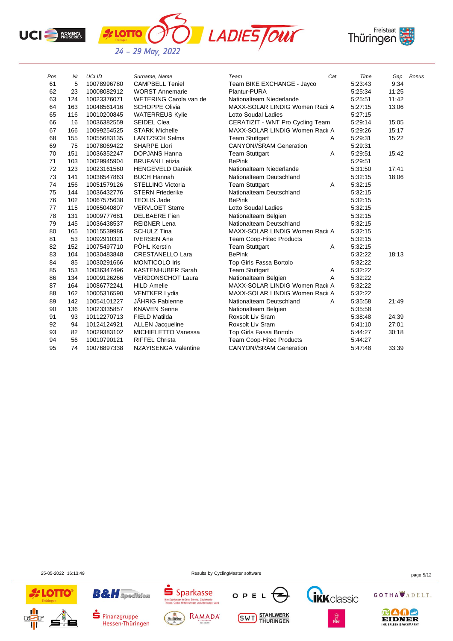





| Pos | Nr  | <b>UCI ID</b> | Surname, Name            | Team                             | Cat | Time    | Gap   | <b>Bonus</b> |
|-----|-----|---------------|--------------------------|----------------------------------|-----|---------|-------|--------------|
| 61  | 5   | 10078996780   | <b>CAMPBELL Teniel</b>   | Team BIKE EXCHANGE - Jayco       |     | 5:23:43 | 9:34  |              |
| 62  | 23  | 10008082912   | <b>WORST Annemarie</b>   | Plantur-PURA                     |     | 5:25:34 | 11:25 |              |
| 63  | 124 | 10023376071   | WETERING Carola van de   | Nationalteam Niederlande         |     | 5:25:51 | 11:42 |              |
| 64  | 163 | 10048561416   | <b>SCHOPPE Olivia</b>    | MAXX-SOLAR LINDIG Women Racii A  |     | 5:27:15 | 13:06 |              |
| 65  | 116 | 10010200845   | <b>WATERREUS Kylie</b>   | Lotto Soudal Ladies              |     | 5:27:15 |       |              |
| 66  | 16  | 10036382559   | <b>SEIDEL Clea</b>       | CERATIZIT - WNT Pro Cycling Team |     | 5:29:14 | 15:05 |              |
| 67  | 166 | 10099254525   | <b>STARK Michelle</b>    | MAXX-SOLAR LINDIG Women Racii A  |     | 5:29:26 | 15:17 |              |
| 68  | 155 | 10055683135   | <b>LANTZSCH Selma</b>    | <b>Team Stuttgart</b>            | Α   | 5:29:31 | 15:22 |              |
| 69  | 75  | 10078069422   | <b>SHARPE Llori</b>      | <b>CANYON//SRAM Generation</b>   |     | 5:29:31 |       |              |
| 70  | 151 | 10036352247   | <b>DOPJANS Hanna</b>     | <b>Team Stuttgart</b>            | A   | 5:29:51 | 15:42 |              |
| 71  | 103 | 10029945904   | <b>BRUFANI Letizia</b>   | <b>BePink</b>                    |     | 5:29:51 |       |              |
| 72  | 123 | 10023161560   | <b>HENGEVELD Daniek</b>  | Nationalteam Niederlande         |     | 5:31:50 | 17:41 |              |
| 73  | 141 | 10036547863   | <b>BUCH Hannah</b>       | Nationalteam Deutschland         |     | 5:32:15 | 18:06 |              |
| 74  | 156 | 10051579126   | <b>STELLING Victoria</b> | <b>Team Stuttgart</b>            | A   | 5:32:15 |       |              |
| 75  | 144 | 10036432776   | <b>STERN Friederike</b>  | Nationalteam Deutschland         |     | 5:32:15 |       |              |
| 76  | 102 | 10067575638   | <b>TEOLIS Jade</b>       | <b>BePink</b>                    |     | 5:32:15 |       |              |
| 77  | 115 | 10065040807   | <b>VERVLOET Sterre</b>   | Lotto Soudal Ladies              |     | 5:32:15 |       |              |
| 78  | 131 | 10009777681   | <b>DELBAERE</b> Fien     | Nationalteam Belgien             |     | 5:32:15 |       |              |
| 79  | 145 | 10036438537   | <b>REIGNER Lena</b>      | Nationalteam Deutschland         |     | 5:32:15 |       |              |
| 80  | 165 | 10015539986   | <b>SCHULZ Tina</b>       | MAXX-SOLAR LINDIG Women Racii A  |     | 5.32.15 |       |              |
| 81  | 53  | 10092910321   | <b>IVERSEN Ane</b>       | <b>Team Coop-Hitec Products</b>  |     | 5:32:15 |       |              |
| 82  | 152 | 10075497710   | PÖHL Kerstin             | <b>Team Stuttgart</b>            | Α   | 5:32:15 |       |              |
| 83  | 104 | 10030483848   | <b>CRESTANELLO Lara</b>  | <b>BePink</b>                    |     | 5:32:22 | 18:13 |              |
| 84  | 85  | 10030291666   | MONTICOLO Iris           | Top Girls Fassa Bortolo          |     | 5:32:22 |       |              |
| 85  | 153 | 10036347496   | <b>KASTENHUBER Sarah</b> | <b>Team Stuttgart</b>            | A   | 5:32:22 |       |              |
| 86  | 134 | 10009126266   | <b>VERDONSCHOT Laura</b> | Nationalteam Belgien             | A   | 5:32:22 |       |              |
| 87  | 164 | 10086772241   | <b>HILD Amelie</b>       | MAXX-SOLAR LINDIG Women Racii A  |     | 5:32:22 |       |              |
| 88  | 162 | 10005316590   | <b>VENTKER Lydia</b>     | MAXX-SOLAR LINDIG Women Racii A  |     | 5:32:22 |       |              |
| 89  | 142 | 10054101227   | JÄHRIG Fabienne          | Nationalteam Deutschland         | A   | 5:35:58 | 21:49 |              |
| 90  | 136 | 10023335857   | <b>KNAVEN Senne</b>      | Nationalteam Belgien             |     | 5.35.58 |       |              |
| 91  | 93  | 10112270713   | <b>FIELD Matilda</b>     | Roxsolt Liv Sram                 |     | 5:38:48 | 24:39 |              |
| 92  | 94  | 10124124921   | <b>ALLEN Jacqueline</b>  | Roxsolt Liv Sram                 |     | 5:41:10 | 27:01 |              |
| 93  | 82  | 10029383102   | MICHIELETTO Vanessa      | Top Girls Fassa Bortolo          |     | 5:44:27 | 30:18 |              |
| 94  | 56  | 10010790121   | <b>RIFFEL Christa</b>    | <b>Team Coop-Hitec Products</b>  |     | 5:44:27 |       |              |
| 95  | 74  | 10076897338   | NZAYISENGA Valentine     | <b>CANYON//SRAM Generation</b>   |     | 5:47:48 | 33:39 |              |

25-05-2022 16:13:49 Results by CyclingMaster software page 5/12



**B&H** Spedition

 $\blacksquare$  Finanzgruppe

Hessen-Thüringen



RAMADA

Saalfelder



**SWT** STAHLWERK





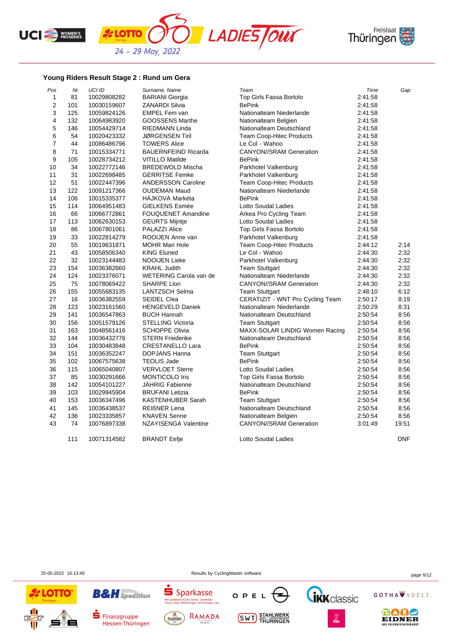





## **Young Riders Result Stage 2 : Rund um Gera**

*L***OTTO** 

| Pos            | Nr  | UCI ID      | Surname, Name               | Team                             | Time    | Gap        |
|----------------|-----|-------------|-----------------------------|----------------------------------|---------|------------|
| $\mathbf{1}$   | 81  | 10029808282 | <b>BARIANI Giorgia</b>      | Top Girls Fassa Bortolo          | 2:41:58 |            |
| $\overline{c}$ | 101 | 10030159607 | <b>ZANARDI Silvia</b>       | <b>BePink</b>                    | 2:41:58 |            |
| 3              | 125 | 10059824126 | EMPEL Fem van               | Nationalteam Niederlande         | 2:41:58 |            |
| 4              | 132 | 10064983920 | <b>GOOSSENS Marthe</b>      | Nationalteam Belgien             | 2:41:58 |            |
| 5              | 146 | 10054429714 | <b>RIEDMANN Linda</b>       | Nationalteam Deutschland         | 2:41:58 |            |
| 6              | 54  | 10020423332 | <b>JØRGENSEN Tiril</b>      | <b>Team Coop-Hitec Products</b>  | 2:41:58 |            |
| 7              | 44  | 10086486796 | <b>TOWERS Alice</b>         | Le Col - Wahoo                   | 2:41:58 |            |
| 8              | 71  | 10015334771 | <b>BAUERNFEIND Ricarda</b>  | <b>CANYON//SRAM Generation</b>   | 2:41:58 |            |
| 9              | 105 | 10028734212 | <b>VITILLO Matilde</b>      | <b>BePink</b>                    | 2:41:58 |            |
| 10             | 34  | 10022772146 | <b>BREDEWOLD Mischa</b>     | Parkhotel Valkenburg             | 2:41:58 |            |
| 11             | 31  | 10022698485 | <b>GERRITSE Femke</b>       | Parkhotel Valkenburg             | 2:41:58 |            |
| 12             | 51  | 10022447396 | <b>ANDERSSON Caroline</b>   | Team Coop-Hitec Products         | 2:41:58 |            |
| 13             | 122 | 10091217366 | <b>OUDEMAN Maud</b>         | Nationalteam Niederlande         | 2:41:58 |            |
| 14             | 106 | 10015335377 | HÁJKOVÁ Markéta             | <b>BePink</b>                    | 2:41:58 |            |
| 15             | 114 | 10064951483 | <b>GIELKENS Esmée</b>       | Lotto Soudal Ladies              | 2:41:58 |            |
| 16             | 66  | 10066772861 | FOUQUENET Amandine          | Arkea Pro Cycling Team           | 2:41:58 |            |
| 17             | 113 | 10062630153 | <b>GEURTS Mijntje</b>       | Lotto Soudal Ladies              | 2:41:58 |            |
| 18             | 86  | 10067801061 | PALAZZI Alice               | Top Girls Fassa Bortolo          | 2:41:58 |            |
| 19             | 33  | 10022814279 | ROOIJEN Anne van            | Parkhotel Valkenburg             | 2:41:58 |            |
| 20             | 55  | 10019631871 | <b>MOHR Mari Hole</b>       | Team Coop-Hitec Products         | 2:44:12 | 2:14       |
| 21             | 43  | 10058506340 | <b>KING Eluned</b>          | Le Col - Wahoo                   | 2:44:30 | 2:32       |
| 22             | 32  | 10023144483 | <b>NOOIJEN Lieke</b>        | Parkhotel Valkenburg             | 2:44:30 | 2:32       |
| 23             | 154 | 10036382660 | <b>KRAHL Judith</b>         | <b>Team Stuttgart</b>            | 2:44:30 | 2:32       |
| 24             | 124 | 10023376071 | WETERING Carola van de      | Nationalteam Niederlande         | 2:44:30 | 2:32       |
| 25             | 75  | 10078069422 | <b>SHARPE Llori</b>         | <b>CANYON//SRAM Generation</b>   | 2:44:30 | 2:32       |
| 26             | 155 | 10055683135 | <b>LANTZSCH Selma</b>       | <b>Team Stuttgart</b>            | 2:48:10 | 6:12       |
| 27             | 16  | 10036382559 | <b>SEIDEL Clea</b>          | CERATIZIT - WNT Pro Cycling Team | 2:50:17 | 8:19       |
| 28             | 123 | 10023161560 | <b>HENGEVELD Daniek</b>     | Nationalteam Niederlande         | 2:50:29 | 8:31       |
| 29             | 141 | 10036547863 | <b>BUCH Hannah</b>          | Nationalteam Deutschland         | 2:50:54 | 8:56       |
| 30             | 156 | 10051579126 | <b>STELLING Victoria</b>    | <b>Team Stuttgart</b>            | 2:50:54 | 8:56       |
| 31             | 163 | 10048561416 | <b>SCHOPPE Olivia</b>       | MAXX-SOLAR LINDIG Women Racing   | 2:50:54 | 8:56       |
| 32             | 144 | 10036432776 | <b>STERN Friederike</b>     | Nationalteam Deutschland         | 2:50:54 | 8:56       |
| 33             | 104 | 10030483848 | <b>CRESTANELLO Lara</b>     | <b>BePink</b>                    | 2:50:54 | 8:56       |
| 34             | 151 | 10036352247 | DOPJANS Hanna               | <b>Team Stuttgart</b>            | 2:50:54 | 8:56       |
| 35             | 102 | 10067575638 | <b>TEOLIS Jade</b>          | <b>BePink</b>                    | 2:50:54 | 8:56       |
| 36             | 115 | 10065040807 | <b>VERVLOET Sterre</b>      | Lotto Soudal Ladies              | 2:50:54 | 8:56       |
| 37             | 85  | 10030291666 | <b>MONTICOLO Iris</b>       | Top Girls Fassa Bortolo          | 2:50:54 | 8:56       |
| 38             | 142 | 10054101227 | <b>JAHRIG Fabienne</b>      | Nationalteam Deutschland         | 2:50:54 | 8:56       |
| 39             | 103 | 10029945904 | <b>BRUFANI Letizia</b>      | <b>BePink</b>                    | 2:50:54 | 8:56       |
| 40             | 153 | 10036347496 | <b>KASTENHUBER Sarah</b>    | <b>Team Stuttgart</b>            | 2:50:54 | 8:56       |
| 41             | 145 | 10036438537 | <b>REIßNER Lena</b>         | Nationalteam Deutschland         | 2:50:54 | 8:56       |
| 42             | 136 | 10023335857 | <b>KNAVEN Senne</b>         | Nationalteam Belgien             | 2:50:54 | 8:56       |
| 43             | 74  | 10076897338 | <b>NZAYISENGA Valentine</b> | <b>CANYON//SRAM Generation</b>   | 3:01:49 | 19:51      |
|                | 111 | 10071314582 | <b>BRANDT Eefje</b>         | Lotto Soudal Ladies              |         | <b>DNF</b> |



25-05-2022 16:13:49 Results by CyclingMaster software page 6/12





Finanzgruppe Hessen-Thüringen

**B&H** Spedition



**Thre Spanner** 

Sparkasse

Jd | Kd SSC<br>| Gera, Schleiz, Zeulenroda-<br>|ttelthüringen und Altenburger Land

**SWT** STAHLWERK

OPEL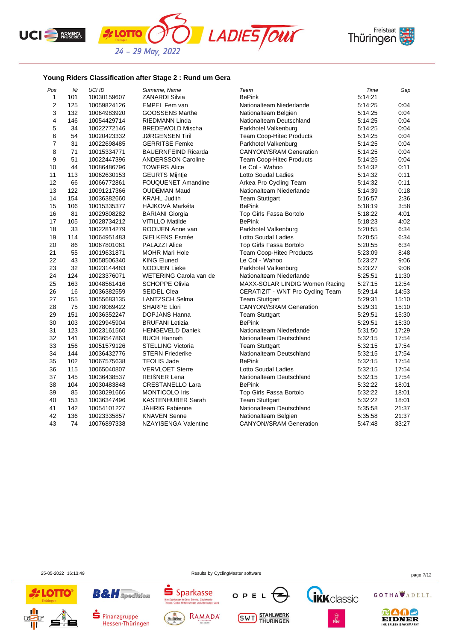





## **Young Riders Classification after Stage 2 : Rund um Gera**

| Pos            | Nr  | UCI ID      | Surname, Name               | Team                             | Time    | Gap   |
|----------------|-----|-------------|-----------------------------|----------------------------------|---------|-------|
| 1              | 101 | 10030159607 | <b>ZANARDI Silvia</b>       | <b>BePink</b>                    | 5:14:21 |       |
| $\overline{2}$ | 125 | 10059824126 | <b>EMPEL Fem van</b>        | Nationalteam Niederlande         | 5:14:25 | 0:04  |
| 3              | 132 | 10064983920 | <b>GOOSSENS Marthe</b>      | Nationalteam Belgien             | 5:14:25 | 0:04  |
| 4              | 146 | 10054429714 | RIEDMANN Linda              | Nationalteam Deutschland         | 5:14:25 | 0:04  |
| 5              | 34  | 10022772146 | <b>BREDEWOLD Mischa</b>     | Parkhotel Valkenburg             | 5:14:25 | 0:04  |
| 6              | 54  | 10020423332 | <b>JØRGENSEN Tiril</b>      | <b>Team Coop-Hitec Products</b>  | 5:14:25 | 0:04  |
| 7              | 31  | 10022698485 | <b>GERRITSE Femke</b>       | Parkhotel Valkenburg             | 5:14:25 | 0:04  |
| 8              | 71  | 10015334771 | <b>BAUERNFEIND Ricarda</b>  | <b>CANYON//SRAM Generation</b>   | 5:14:25 | 0:04  |
| 9              | 51  | 10022447396 | <b>ANDERSSON Caroline</b>   | <b>Team Coop-Hitec Products</b>  | 5:14:25 | 0:04  |
| 10             | 44  | 10086486796 | <b>TOWERS Alice</b>         | Le Col - Wahoo                   | 5:14:32 | 0:11  |
| 11             | 113 | 10062630153 | <b>GEURTS Mijntje</b>       | Lotto Soudal Ladies              | 5:14:32 | 0:11  |
| 12             | 66  | 10066772861 | <b>FOUQUENET Amandine</b>   | Arkea Pro Cycling Team           | 5:14:32 | 0:11  |
| 13             | 122 | 10091217366 | <b>OUDEMAN Maud</b>         | Nationalteam Niederlande         | 5.14:39 | 0:18  |
| 14             | 154 | 10036382660 | <b>KRAHL Judith</b>         | <b>Team Stuttgart</b>            | 5:16:57 | 2:36  |
| 15             | 106 | 10015335377 | HÁJKOVÁ Markéta             | <b>BePink</b>                    | 5:18:19 | 3:58  |
| 16             | 81  | 10029808282 | <b>BARIANI Giorgia</b>      | Top Girls Fassa Bortolo          | 5:18:22 | 4:01  |
| 17             | 105 | 10028734212 | <b>VITILLO Matilde</b>      | <b>BePink</b>                    | 5:18:23 | 4:02  |
| 18             | 33  | 10022814279 | ROOIJEN Anne van            | Parkhotel Valkenburg             | 5:20:55 | 6:34  |
| 19             | 114 | 10064951483 | <b>GIELKENS Esmée</b>       | Lotto Soudal Ladies              | 5:20:55 | 6:34  |
| 20             | 86  | 10067801061 | PALAZZI Alice               | Top Girls Fassa Bortolo          | 5:20:55 | 6:34  |
| 21             | 55  | 10019631871 | <b>MOHR Mari Hole</b>       | <b>Team Coop-Hitec Products</b>  | 5:23:09 | 8:48  |
| 22             | 43  | 10058506340 | <b>KING Eluned</b>          | Le Col - Wahoo                   | 5:23:27 | 9:06  |
| 23             | 32  | 10023144483 | <b>NOOIJEN Lieke</b>        | Parkhotel Valkenburg             | 5:23:27 | 9:06  |
| 24             | 124 | 10023376071 | WETERING Carola van de      | Nationalteam Niederlande         | 5:25:51 | 11:30 |
| 25             | 163 | 10048561416 | <b>SCHOPPE Olivia</b>       | MAXX-SOLAR LINDIG Women Racing   | 5:27:15 | 12:54 |
| 26             | 16  | 10036382559 | <b>SEIDEL Clea</b>          | CERATIZIT - WNT Pro Cycling Team | 5.29:14 | 14:53 |
| 27             | 155 | 10055683135 | <b>LANTZSCH Selma</b>       | <b>Team Stuttgart</b>            | 5:29:31 | 15:10 |
| 28             | 75  | 10078069422 | <b>SHARPE Llori</b>         | <b>CANYON//SRAM Generation</b>   | 5:29:31 | 15:10 |
| 29             | 151 | 10036352247 | DOPJANS Hanna               | <b>Team Stuttgart</b>            | 5:29:51 | 15:30 |
| 30             | 103 | 10029945904 | <b>BRUFANI</b> Letizia      | <b>BePink</b>                    | 5:29:51 | 15:30 |
| 31             | 123 | 10023161560 | <b>HENGEVELD Daniek</b>     | Nationalteam Niederlande         | 5:31:50 | 17:29 |
| 32             | 141 | 10036547863 | <b>BUCH Hannah</b>          | Nationalteam Deutschland         | 5:32:15 | 17:54 |
| 33             | 156 | 10051579126 | <b>STELLING Victoria</b>    | <b>Team Stuttgart</b>            | 5:32:15 | 17:54 |
| 34             | 144 | 10036432776 | <b>STERN Friederike</b>     | Nationalteam Deutschland         | 5:32:15 | 17:54 |
| 35             | 102 | 10067575638 | <b>TEOLIS Jade</b>          | <b>BePink</b>                    | 5:32:15 | 17:54 |
| 36             | 115 | 10065040807 | <b>VERVLOET Sterre</b>      | <b>Lotto Soudal Ladies</b>       | 5:32:15 | 17:54 |
| 37             | 145 | 10036438537 | <b>REIßNER Lena</b>         | Nationalteam Deutschland         | 5:32:15 | 17:54 |
| 38             | 104 | 10030483848 | <b>CRESTANELLO Lara</b>     | <b>BePink</b>                    | 5:32:22 | 18:01 |
| 39             | 85  | 10030291666 | <b>MONTICOLO Iris</b>       | Top Girls Fassa Bortolo          | 5:32:22 | 18:01 |
| 40             | 153 | 10036347496 | <b>KASTENHUBER Sarah</b>    | <b>Team Stuttgart</b>            | 5:32:22 | 18:01 |
| 41             | 142 | 10054101227 | <b>JÄHRIG Fabienne</b>      | Nationalteam Deutschland         | 5:35:58 | 21:37 |
| 42             | 136 | 10023335857 | <b>KNAVEN Senne</b>         | Nationalteam Belgien             | 5:35:58 | 21:37 |
| 43             | 74  | 10076897338 | <b>NZAYISENGA Valentine</b> | <b>CANYON//SRAM Generation</b>   | 5:47:48 | 33:27 |

25-05-2022 16:13:49 Results by CyclingMaster software page 7/12





**B&H** Spedition



Thre Sp

 $S<sub>parkasse</sub>$ 

Jd | Kd SSC<br>| Gera, Schleiz, Zeulenroda-<br>|ttelthüringen und Altenburger Land



**SWT** STAHLWERK





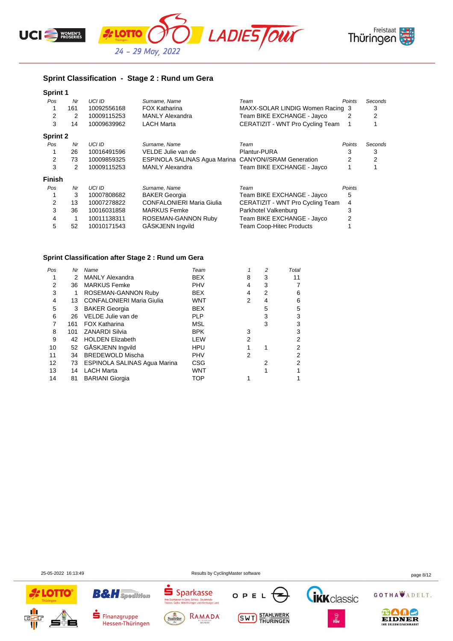





## **Sprint Classification - Stage 2 : Rund um Gera**

| <b>Sprint 1</b> |     |               |                                                      |                                  |        |         |
|-----------------|-----|---------------|------------------------------------------------------|----------------------------------|--------|---------|
| Pos             | Nr  | UCI ID        | Surname, Name                                        | Team                             | Points | Seconds |
|                 | 161 | 10092556168   | <b>FOX Katharina</b>                                 | MAXX-SOLAR LINDIG Women Racing 3 |        | 3       |
| 2               | 2   | 10009115253   | <b>MANLY Alexandra</b>                               | Team BIKE EXCHANGE - Jayco       | 2      | 2       |
| 3               | 14  | 10009639962   | <b>LACH Marta</b>                                    | CERATIZIT - WNT Pro Cycling Team |        |         |
| <b>Sprint 2</b> |     |               |                                                      |                                  |        |         |
| Pos             | Nr  | UCI ID        | Surname, Name                                        | Team                             | Points | Seconds |
|                 | 26  | 10016491596   | VELDE Julie van de                                   | Plantur-PURA                     | 3      | 3       |
| 2               | 73  | 10009859325   | ESPINOLA SALINAS Agua Marina CANYON//SRAM Generation |                                  | 2      | 2       |
| 3               | 2   | 10009115253   | <b>MANLY Alexandra</b>                               | Team BIKE EXCHANGE - Jayco       |        |         |
| <b>Finish</b>   |     |               |                                                      |                                  |        |         |
| Pos             | Nr  | <b>UCI ID</b> | Surname, Name                                        | Team                             | Points |         |
|                 | 3   | 10007808682   | <b>BAKER Georgia</b>                                 | Team BIKE EXCHANGE - Jayco       | 5      |         |
| 2               | 13  | 10007278822   | <b>CONFALONIERI Maria Giulia</b>                     | CERATIZIT - WNT Pro Cycling Team | 4      |         |
| 3               | 36  | 10016031858   | <b>MARKUS Femke</b>                                  | Parkhotel Valkenburg             | 3      |         |
| 4               |     | 10011138311   | ROSEMAN-GANNON Ruby                                  | Team BIKE EXCHANGE - Jayco       | 2      |         |
| 5               | 52  | 10010171543   | GÅSKJENN Ingvild                                     | <b>Team Coop-Hitec Products</b>  |        |         |

## **Sprint Classification after Stage 2 : Rund um Gera**

| Nr  | Name                             | Team       |                | 2 | Total |
|-----|----------------------------------|------------|----------------|---|-------|
| 2   | <b>MANLY Alexandra</b>           | <b>BEX</b> | 8              | 3 | 11    |
| 36  | <b>MARKUS Femke</b>              | <b>PHV</b> | 4              | 3 |       |
| 1   | ROSEMAN-GANNON Ruby              | <b>BEX</b> | 4              | 2 | 6     |
| 13  | <b>CONFALONIERI Maria Giulia</b> | WNT        | 2              | 4 | 6     |
| 3   | <b>BAKER Georgia</b>             | <b>BEX</b> |                | 5 | 5     |
| 26  | VELDE Julie van de               | <b>PLP</b> |                | 3 | 3     |
| 161 | <b>FOX Katharina</b>             | <b>MSL</b> |                | 3 | 3     |
| 101 | <b>ZANARDI Silvia</b>            | <b>BPK</b> | 3              |   | 3     |
| 42  | <b>HOLDEN Elizabeth</b>          | LEW        | 2              |   | 2     |
| 52  | GÅSKJENN Ingvild                 | <b>HPU</b> |                |   |       |
| 34  | <b>BREDEWOLD Mischa</b>          | <b>PHV</b> | $\overline{2}$ |   | 2     |
| 73  | ESPINOLA SALINAS Agua Marina     | CSG        |                | 2 |       |
| 14  | <b>LACH Marta</b>                | WNT        |                |   |       |
| 81  | <b>BARIANI Giorgia</b>           | TOP        |                |   |       |
|     |                                  |            |                |   |       |

**B&H** Spedition

Finanzgruppe

Hessen-Thüringen

OPEL

**SWT** STAHLWERK





25-05-2022 16:13:49 Results by CyclingMaster software page 8/12

 $S<sub>parkasse</sub>$ 

**Thre Sp**<br>Trinhas

Saalfelder

Gera, Schleiz, Zeulenroda-<br>Itelthüringen und Altenburger Land

RAMADA

GOTHA ADELT.

**TRK** classic

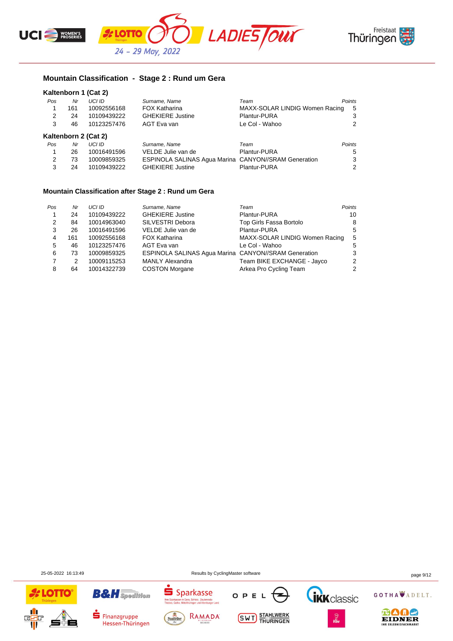



# **Mountain Classification - Stage 2 : Rund um Gera**

| Kaltenborn 1 (Cat 2) |  |  |  |
|----------------------|--|--|--|
|----------------------|--|--|--|

| Pos | Nr  | UCI ID               | Surname, Name                                        | Team                           | Points |
|-----|-----|----------------------|------------------------------------------------------|--------------------------------|--------|
| 1   | 161 | 10092556168          | <b>FOX Katharina</b>                                 | MAXX-SOLAR LINDIG Women Racing | - 5    |
| 2   | 24  | 10109439222          | <b>GHEKIERE Justine</b>                              | Plantur-PURA                   | 3      |
| 3   | 46  | 10123257476          | AGT Eva van                                          | Le Col - Wahoo                 | 2      |
|     |     | Kaltenborn 2 (Cat 2) |                                                      |                                |        |
| Pos | Nr  | <b>UCI ID</b>        | Surname, Name                                        | Team                           | Points |
| 1   | 26  | 10016491596          | VELDE Julie van de                                   | Plantur-PURA                   | 5      |
| 2   | 73  | 10009859325          | ESPINOLA SALINAS Agua Marina CANYON//SRAM Generation |                                | 3      |

3 24 10109439222 GHEKIERE Justine Plantur-PURA 2

#### **Mountain Classification after Stage 2 : Rund um Gera**

| Pos | Nr  | UCI ID      | Surname, Name                                        | Team                           | Points |
|-----|-----|-------------|------------------------------------------------------|--------------------------------|--------|
|     | 24  | 10109439222 | <b>GHEKIERE Justine</b>                              | Plantur-PURA                   | 10     |
| 2   | 84  | 10014963040 | SILVESTRI Debora                                     | Top Girls Fassa Bortolo        | 8      |
| 3   | 26  | 10016491596 | VELDE Julie van de                                   | Plantur-PURA                   | 5      |
| 4   | 161 | 10092556168 | <b>FOX Katharina</b>                                 | MAXX-SOLAR LINDIG Women Racing | - 5    |
| 5   | 46  | 10123257476 | AGT Eva van                                          | Le Col - Wahoo                 | 5      |
| 6   | 73  | 10009859325 | ESPINOLA SALINAS Agua Marina CANYON//SRAM Generation |                                | 3      |
|     | 2   | 10009115253 | <b>MANLY Alexandra</b>                               | Team BIKE EXCHANGE - Jayco     | 2      |
| 8   | 64  | 10014322739 | <b>COSTON Morgane</b>                                | Arkea Pro Cycling Team         | 2      |

25-05-2022 16:13:49 Results by CyclingMaster software page 9/12

OPE

**SWT** STAHLWERK



ś

Saalfelder

Sparkasse

CHINCODOL<br>Bera, Schleiz, Zeulenroda-<br>althüringen und Altenburger Land

RAMADA

**B&H** Spedition

Finanzgruppe

Hessen-Thüringen

GOTHA ADELT.

**IKK** classic

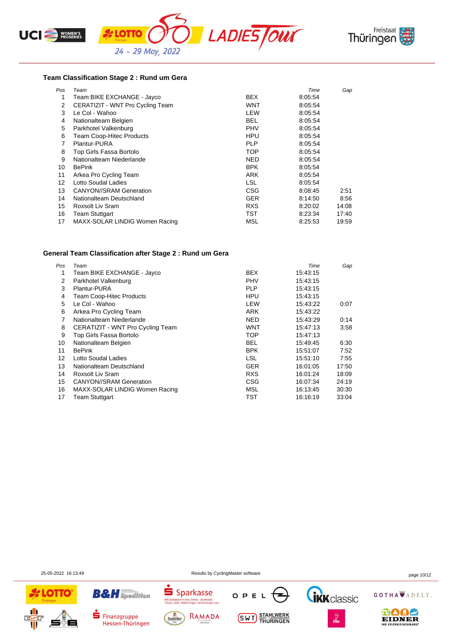



#### **Team Classification Stage 2 : Rund um Gera**

| Pos | Team                             |            | Time    | Gap   |
|-----|----------------------------------|------------|---------|-------|
| 1   | Team BIKE EXCHANGE - Jayco       | <b>BEX</b> | 8:05:54 |       |
| 2   | CERATIZIT - WNT Pro Cycling Team | WNT        | 8:05:54 |       |
| 3   | Le Col - Wahoo                   | LEW        | 8:05:54 |       |
| 4   | Nationalteam Belgien             | <b>BEL</b> | 8:05:54 |       |
| 5   | Parkhotel Valkenburg             | <b>PHV</b> | 8:05:54 |       |
| 6   | <b>Team Coop-Hitec Products</b>  | HPU        | 8:05:54 |       |
|     | Plantur-PURA                     | <b>PLP</b> | 8:05:54 |       |
| 8   | Top Girls Fassa Bortolo          | <b>TOP</b> | 8:05:54 |       |
| 9   | Nationalteam Niederlande         | NED        | 8:05:54 |       |
| 10  | <b>BePink</b>                    | <b>BPK</b> | 8:05:54 |       |
| 11  | Arkea Pro Cycling Team           | ARK        | 8:05:54 |       |
| 12  | Lotto Soudal Ladies              | <b>LSL</b> | 8:05:54 |       |
| 13  | <b>CANYON//SRAM Generation</b>   | <b>CSG</b> | 8:08:45 | 2:51  |
| 14  | Nationalteam Deutschland         | <b>GER</b> | 8:14:50 | 8:56  |
| 15  | Roxsolt Liv Sram                 | <b>RXS</b> | 8:20:02 | 14:08 |
| 16  | <b>Team Stuttgart</b>            | TST        | 8:23:34 | 17:40 |
| 17  | MAXX-SOLAR LINDIG Women Racing   | MSL        | 8.25.53 | 19:59 |

#### **General Team Classification after Stage 2 : Rund um Gera**

| Pos | Team                             |            | Time     | Gap   |
|-----|----------------------------------|------------|----------|-------|
| 1   | Team BIKE EXCHANGE - Jayco       | <b>BEX</b> | 15:43:15 |       |
| 2   | Parkhotel Valkenburg             | <b>PHV</b> | 15:43:15 |       |
| 3   | Plantur-PURA                     | <b>PLP</b> | 15:43:15 |       |
| 4   | <b>Team Coop-Hitec Products</b>  | <b>HPU</b> | 15:43:15 |       |
| 5   | Le Col - Wahoo                   | LEW        | 15.43.22 | 0:07  |
| 6   | Arkea Pro Cycling Team           | <b>ARK</b> | 15.43.22 |       |
| 7   | Nationalteam Niederlande         | <b>NED</b> | 15:43:29 | 0:14  |
| 8   | CERATIZIT - WNT Pro Cycling Team | WNT        | 15:47:13 | 3:58  |
| 9   | Top Girls Fassa Bortolo          | TOP        | 15:47:13 |       |
| 10  | Nationalteam Belgien             | <b>BEL</b> | 15:49:45 | 6:30  |
| 11  | <b>BePink</b>                    | <b>BPK</b> | 15:51:07 | 7:52  |
| 12  | Lotto Soudal Ladies              | <b>LSL</b> | 15:51:10 | 7:55  |
| 13  | Nationalteam Deutschland         | <b>GER</b> | 16:01:05 | 17:50 |
| 14  | Roxsolt Liv Sram                 | <b>RXS</b> | 16:01:24 | 18:09 |
| 15  | <b>CANYON//SRAM Generation</b>   | CSG        | 16:07:34 | 24:19 |
| 16  | MAXX-SOLAR LINDIG Women Racing   | MSL        | 16:13:45 | 30:30 |
| 17  | <b>Team Stuttgart</b>            | TST        | 16:16:19 | 33:04 |

25-05-2022 16:13:49 Results by CyclingMaster software page 10/12





Finanzgruppe

Hessen-Thüringen





**SWT** STAHLWERK



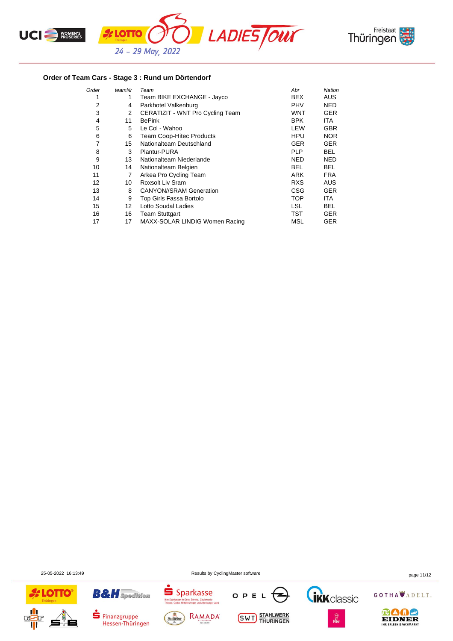



## **Order of Team Cars - Stage 3 : Rund um Dörtendorf**

| Order | teamNr            | Team                             | Abr        | Nation     |
|-------|-------------------|----------------------------------|------------|------------|
| 1     | 1                 | Team BIKE EXCHANGE - Jayco       | BEX        | <b>AUS</b> |
| 2     | 4                 | Parkhotel Valkenburg             | <b>PHV</b> | NED.       |
| 3     | 2                 | CERATIZIT - WNT Pro Cycling Team | <b>WNT</b> | GER        |
| 4     | 11                | <b>BePink</b>                    | <b>BPK</b> | ITA.       |
| 5     | 5                 | Le Col - Wahoo                   | LEW        | <b>GBR</b> |
| 6     | 6                 | <b>Team Coop-Hitec Products</b>  | HPU        | <b>NOR</b> |
| 7     | 15                | Nationalteam Deutschland         | <b>GER</b> | <b>GER</b> |
| 8     | 3                 | Plantur-PURA                     | <b>PLP</b> | <b>BEL</b> |
| 9     | 13                | Nationalteam Niederlande         | NED        | <b>NED</b> |
| 10    | 14                | Nationalteam Belgien             | <b>BEL</b> | <b>BEL</b> |
| 11    | 7                 | Arkea Pro Cycling Team           | <b>ARK</b> | <b>FRA</b> |
| 12    | 10                | Roxsolt Liv Sram                 | <b>RXS</b> | <b>AUS</b> |
| 13    | 8                 | <b>CANYON//SRAM Generation</b>   | CSG        | <b>GER</b> |
| 14    | 9                 | Top Girls Fassa Bortolo          | TOP        | ITA        |
| 15    | $12 \overline{ }$ | Lotto Soudal Ladies              | LSL.       | <b>BEL</b> |
| 16    | 16                | <b>Team Stuttgart</b>            | TST        | GER        |
| 17    | 17                | MAXX-SOLAR LINDIG Women Racing   | MSL        | GER        |

25-05-2022 16:13:49 Results by CyclingMaster software page 11/12





Hessen-Thüringen





**SWT** STAHLWERK